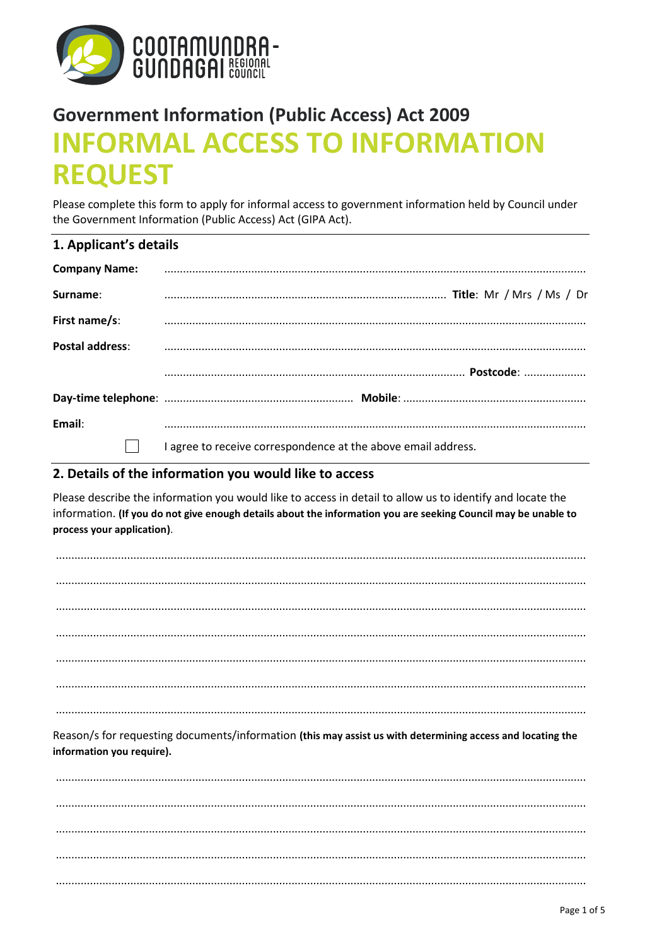

# **Government Information (Public Access) Act 2009 INFORMAL ACCESS TO INFORMATION REQUEST**

Please complete this form to apply for informal access to government information held by Council under the Government Information (Public Access) Act (GIPA Act).

|  |  | 1. Applicant's details |
|--|--|------------------------|

| <b>Company Name:</b>   |                                                               |
|------------------------|---------------------------------------------------------------|
| Surname:               |                                                               |
| First name/s:          |                                                               |
| <b>Postal address:</b> |                                                               |
|                        |                                                               |
|                        |                                                               |
| Email:                 |                                                               |
|                        | I agree to receive correspondence at the above email address. |

# 2. Details of the information you would like to access

Please describe the information you would like to access in detail to allow us to identify and locate the information. (If you do not give enough details about the information you are seeking Council may be unable to process your application).

| Reason/s for requesting documents/information (this may assist us with determining access and locating the<br>information you require). |  |
|-----------------------------------------------------------------------------------------------------------------------------------------|--|
|                                                                                                                                         |  |
|                                                                                                                                         |  |
|                                                                                                                                         |  |
|                                                                                                                                         |  |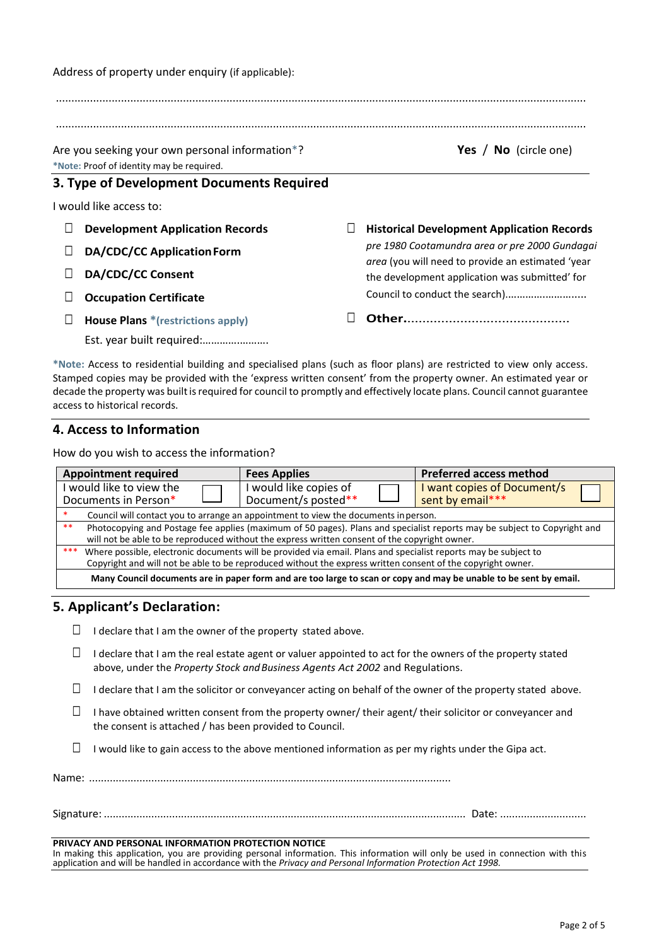........................................................................................................................................................................... Are you seeking your own personal information\*? **Yes** / **No** (circle one) **\*Note:** Proof of identity may be required. **3. Type of Development Documents Required** I would like access to: □ **Development Application Records** □ **DA/CDC/CC ApplicationForm** □ **DA/CDC/CC Consent**  □ **Occupation Certificate** □ **House Plans \*(restrictions apply)** Est. year built required:………….………. □ **Historical Development Application Records** *pre 1980 Cootamundra area or pre 2000 Gundagai area* (you will need to provide an estimated 'year the development application was submitted' for Council to conduct the search).………….………..... □ **Other.**...........................................

**\*Note:** Access to residential building and specialised plans (such as floor plans) are restricted to view only access. Stamped copies may be provided with the 'express written consent' from the property owner. An estimated year or decade the property was built is required for council to promptly and effectively locate plans. Council cannot guarantee access to historical records.

# **4. Access to Information**

How do you wish to access the information?

Address of property under enquiry (if applicable):

| <b>Appointment required</b>                                                                                                                                                                                                           | <b>Fees Applies</b>                           | <b>Preferred access method</b>                  |  |  |  |  |
|---------------------------------------------------------------------------------------------------------------------------------------------------------------------------------------------------------------------------------------|-----------------------------------------------|-------------------------------------------------|--|--|--|--|
| would like to view the<br>Documents in Person*                                                                                                                                                                                        | I would like copies of<br>Document/s posted** | I want copies of Document/s<br>sent by email*** |  |  |  |  |
| Council will contact you to arrange an appointment to view the documents in person.                                                                                                                                                   |                                               |                                                 |  |  |  |  |
| **<br>Photocopying and Postage fee applies (maximum of 50 pages). Plans and specialist reports may be subject to Copyright and<br>will not be able to be reproduced without the express written consent of the copyright owner.       |                                               |                                                 |  |  |  |  |
| ***<br>Where possible, electronic documents will be provided via email. Plans and specialist reports may be subject to<br>Copyright and will not be able to be reproduced without the express written consent of the copyright owner. |                                               |                                                 |  |  |  |  |
| Many Council documents are in paper form and are too large to scan or copy and may be unable to be sent by email.                                                                                                                     |                                               |                                                 |  |  |  |  |

# **5. Applicant's Declaration:**

- $\Box$  I declare that I am the owner of the property stated above.
- $\Box$  I declare that I am the real estate agent or valuer appointed to act for the owners of the property stated above, under the *Property Stock andBusiness Agents Act 2002* and Regulations.
- $\Box$  I declare that I am the solicitor or conveyancer acting on behalf of the owner of the property stated above.
- $\Box$  I have obtained written consent from the property owner/ their agent/ their solicitor or conveyancer and the consent is attached / has been provided to Council.
- $\Box$  I would like to gain access to the above mentioned information as per my rights under the Gipa act.

Name: ..........................................................................................................................

Signature: .......................................................................................................................... Date: .............................

## **PRIVACY AND PERSONAL INFORMATION PROTECTION NOTICE**

In making this application, you are providing personal information. This information will only be used in connection with this application and will be handled in accordance with the *Privacy and Personal Information Protection Act 1998.*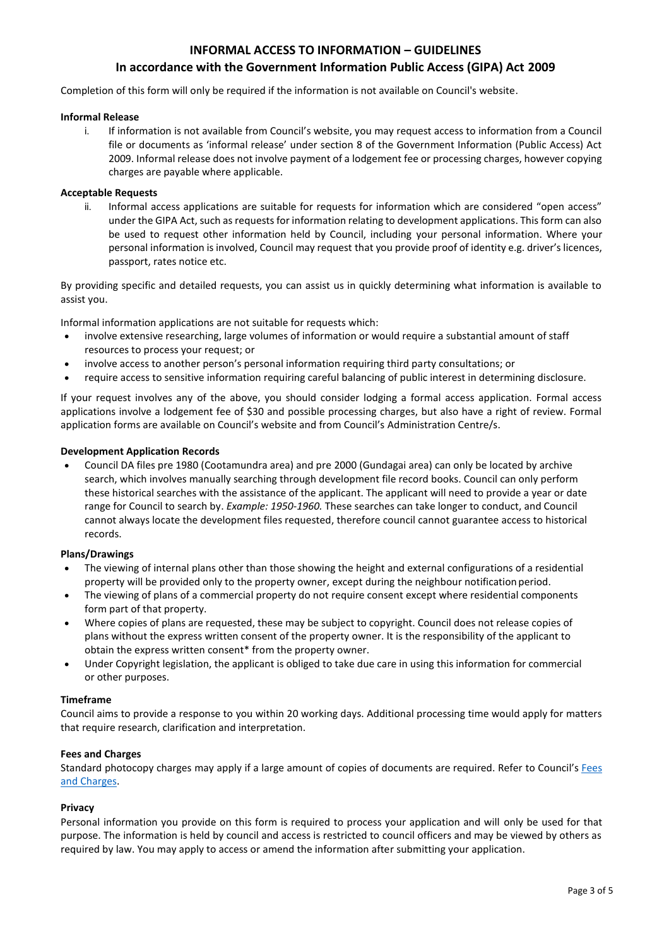# **INFORMAL ACCESS TO INFORMATION – GUIDELINES**

# **In accordance with the Government Information Public Access (GIPA) Act 2009**

Completion of this form will only be required if the information is not available on Council's website.

## **Informal Release**

i. If information is not available from Council's website, you may request access to information from a Council file or documents as 'informal release' under section 8 of the Government Information (Public Access) Act 2009. Informal release does not involve payment of a lodgement fee or processing charges, however copying charges are payable where applicable.

# **Acceptable Requests**

ii. Informal access applications are suitable for requests for information which are considered "open access" under the GIPA Act, such as requests for information relating to development applications. This form can also be used to request other information held by Council, including your personal information. Where your personal information is involved, Council may request that you provide proof of identity e.g. driver's licences, passport, rates notice etc.

By providing specific and detailed requests, you can assist us in quickly determining what information is available to assist you.

Informal information applications are not suitable for requests which:

- involve extensive researching, large volumes of information or would require a substantial amount of staff resources to process your request; or
- involve access to another person's personal information requiring third party consultations; or
- require access to sensitive information requiring careful balancing of public interest in determining disclosure.

If your request involves any of the above, you should consider lodging a formal access application. Formal access applications involve a lodgement fee of \$30 and possible processing charges, but also have a right of review. Formal application forms are available on Council's website and from Council's Administration Centre/s.

## **Development Application Records**

 Council DA files pre 1980 (Cootamundra area) and pre 2000 (Gundagai area) can only be located by archive search, which involves manually searching through development file record books. Council can only perform these historical searches with the assistance of the applicant. The applicant will need to provide a year or date range for Council to search by. *Example: 1950-1960.* These searches can take longer to conduct, and Council cannot always locate the development files requested, therefore council cannot guarantee access to historical records.

# **Plans/Drawings**

- The viewing of internal plans other than those showing the height and external configurations of a residential property will be provided only to the property owner, except during the neighbour notification period.
- The viewing of plans of a commercial property do not require consent except where residential components form part of that property.
- Where copies of plans are requested, these may be subject to copyright. Council does not release copies of plans without the express written consent of the property owner. It is the responsibility of the applicant to obtain the express written consent\* from the property owner.
- Under Copyright legislation, the applicant is obliged to take due care in using this information for commercial or other purposes.

#### **Timeframe**

Council aims to provide a response to you within 20 working days. Additional processing time would apply for matters that require research, clarification and interpretation.

# **Fees and Charges**

Standard photocopy charges may apply if a large amount of copies of documents are required. Refer to Council's Fees [and Charges.](http://www.cgrc.nsw.gov.au/council-plans-and-reports/fees-and-charges/)

# **Privacy**

Personal information you provide on this form is required to process your application and will only be used for that purpose. The information is held by council and access is restricted to council officers and may be viewed by others as required by law. You may apply to access or amend the information after submitting your application.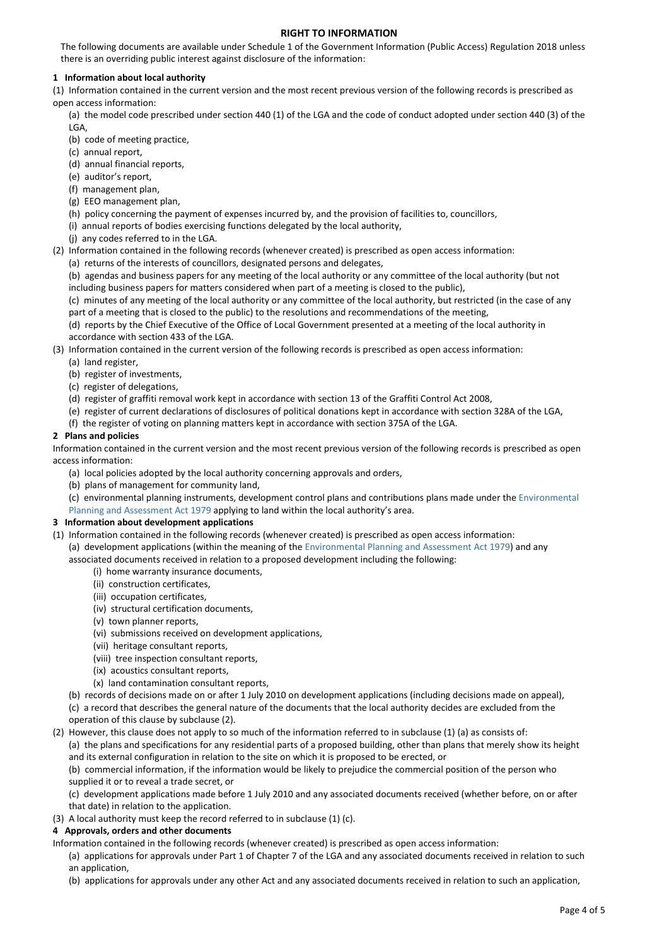# **RIGHT TO INFORMATION**

The following documents are available under Schedule 1 of the Government Information (Public Access) Regulation 2018 unless there is an overriding public interest against disclosure of the information:

### **1 Information about local authority**

(1) Information contained in the current version and the most recent previous version of the following records is prescribed as open access information:

(a) the model code prescribed under section 440 (1) of the LGA and the code of conduct adopted under section 440 (3) of the LGA,

- (b) code of meeting practice,
- (c) annual report,
- (d) annual financial reports,
- (e) auditor's report,
- (f) management plan,
- (g) EEO management plan,

(h) policy concerning the payment of expenses incurred by, and the provision of facilities to, councillors,

- (i) annual reports of bodies exercising functions delegated by the local authority,
- (j) any codes referred to in the LGA.

(2) Information contained in the following records (whenever created) is prescribed as open access information:

- (a) returns of the interests of councillors, designated persons and delegates,
	- (b) agendas and business papers for any meeting of the local authority or any committee of the local authority (but not including business papers for matters considered when part of a meeting is closed to the public),
	- (c) minutes of any meeting of the local authority or any committee of the local authority, but restricted (in the case of any part of a meeting that is closed to the public) to the resolutions and recommendations of the meeting,
	- (d) reports by the Chief Executive of the Office of Local Government presented at a meeting of the local authority in accordance with section 433 of the LGA.
- (3) Information contained in the current version of the following records is prescribed as open access information:
	- (a) land register,
	- (b) register of investments,
	- (c) register of delegations,
	- (d) register of graffiti removal work kept in accordance with section 13 of th[e Graffiti Control Act 2008,](https://legislation.nsw.gov.au/#/view/act/2008/100)
	- (e) register of current declarations of disclosures of political donations kept in accordance with section 328A of the LGA,
	- (f) the register of voting on planning matters kept in accordance with section 375A of the LGA.

## **2 Plans and policies**

Information contained in the current version and the most recent previous version of the following records is prescribed as open access information:

- (a) local policies adopted by the local authority concerning approvals and orders,
- (b) plans of management for community land,
- (c) environmental planning instruments, development control plans and contributions plans made under the [Environmental](https://legislation.nsw.gov.au/#/view/act/1979/203)  [Planning and Assessment Act 1979](https://legislation.nsw.gov.au/#/view/act/1979/203) applying to land within the local authority's area.

#### **3 Information about development applications**

- (1) Information contained in the following records (whenever created) is prescribed as open access information:
	- (a) development applications (within the meaning of th[e Environmental Planning and Assessment Act 1979\)](https://legislation.nsw.gov.au/#/view/act/1979/203) and any associated documents received in relation to a proposed development including the following:
		- (i) home warranty insurance documents,
		- (ii) construction certificates,
		- (iii) occupation certificates,
		- (iv) structural certification documents,
		- (v) town planner reports,
		- (vi) submissions received on development applications,
		- (vii) heritage consultant reports,
		- (viii) tree inspection consultant reports,
		- (ix) acoustics consultant reports,
		- (x) land contamination consultant reports,
	- (b) records of decisions made on or after 1 July 2010 on development applications (including decisions made on appeal), (c) a record that describes the general nature of the documents that the local authority decides are excluded from the
	- operation of this clause by subclause (2).
- (2) However, this clause does not apply to so much of the information referred to in subclause (1) (a) as consists of:

(a) the plans and specifications for any residential parts of a proposed building, other than plans that merely show its height and its external configuration in relation to the site on which it is proposed to be erected, or

(b) commercial information, if the information would be likely to prejudice the commercial position of the person who supplied it or to reveal a trade secret, or

(c) development applications made before 1 July 2010 and any associated documents received (whether before, on or after that date) in relation to the application.

(3) A local authority must keep the record referred to in subclause (1) (c).

#### **4 Approvals, orders and other documents**

Information contained in the following records (whenever created) is prescribed as open access information:

- (a) applications for approvals under Part 1 of Chapter 7 of the LGA and any associated documents received in relation to such an application,
- (b) applications for approvals under any other Act and any associated documents received in relation to such an application,